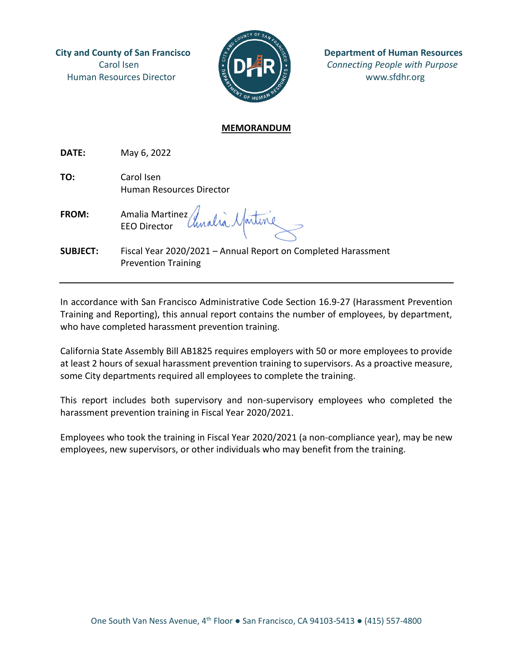Human Resources Director  $\frac{16}{2}$   $\frac{1}{2}$   $\frac{1}{2}$  www.sfdhr.org



**City and County of San Francisco**  $\mathbb{R}$   $\mathbb{R}$   $\mathbb{R}$  Department of Human Resources Carol Isen *Connecting People with Purpose*

## **MEMORANDUM**

**DATE:** May 6, 2022

**TO:** Carol Isen Human Resources Director

**FROM:** Amalia Martinez EEO Director

**SUBJECT:** Fiscal Year 2020/2021 – Annual Report on Completed Harassment Prevention Training

In accordance with San Francisco Administrative Code Section 16.9-27 (Harassment Prevention Training and Reporting), this annual report contains the number of employees, by department, who have completed harassment prevention training.

California State Assembly Bill AB1825 requires employers with 50 or more employees to provide at least 2 hours of sexual harassment prevention training to supervisors. As a proactive measure, some City departments required all employees to complete the training.

This report includes both supervisory and non-supervisory employees who completed the harassment prevention training in Fiscal Year 2020/2021.

Employees who took the training in Fiscal Year 2020/2021 (a non-compliance year), may be new employees, new supervisors, or other individuals who may benefit from the training.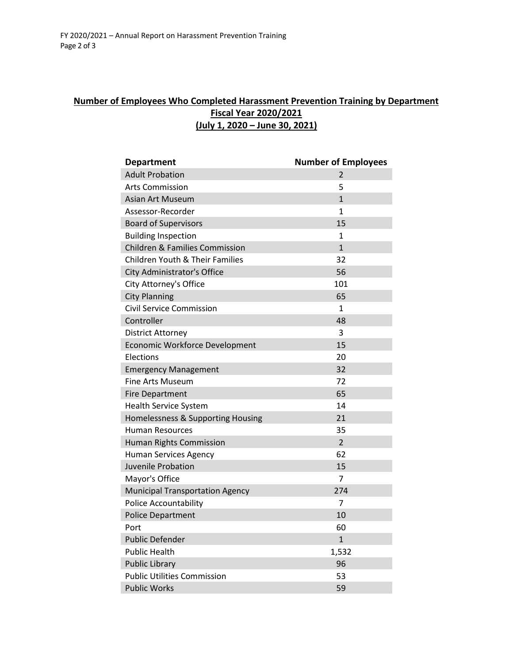## **Number of Employees Who Completed Harassment Prevention Training by Department Fiscal Year 2020/2021 (July 1, 2020 – June 30, 2021)**

| <b>Department</b>                          | <b>Number of Employees</b> |
|--------------------------------------------|----------------------------|
| <b>Adult Probation</b>                     | 2                          |
| <b>Arts Commission</b>                     | 5                          |
| <b>Asian Art Museum</b>                    | $\mathbf{1}$               |
| Assessor-Recorder                          | $\mathbf{1}$               |
| <b>Board of Supervisors</b>                | 15                         |
| <b>Building Inspection</b>                 | 1                          |
| <b>Children &amp; Families Commission</b>  | $\mathbf{1}$               |
| <b>Children Youth &amp; Their Families</b> | 32                         |
| City Administrator's Office                | 56                         |
| City Attorney's Office                     | 101                        |
| <b>City Planning</b>                       | 65                         |
| Civil Service Commission                   | 1                          |
| Controller                                 | 48                         |
| District Attorney                          | 3                          |
| Economic Workforce Development             | 15                         |
| Elections                                  | 20                         |
| <b>Emergency Management</b>                | 32                         |
| Fine Arts Museum                           | 72                         |
| <b>Fire Department</b>                     | 65                         |
| <b>Health Service System</b>               | 14                         |
| Homelessness & Supporting Housing          | 21                         |
| <b>Human Resources</b>                     | 35                         |
| <b>Human Rights Commission</b>             | $\overline{2}$             |
| <b>Human Services Agency</b>               | 62                         |
| Juvenile Probation                         | 15                         |
| Mayor's Office                             | 7                          |
| <b>Municipal Transportation Agency</b>     | 274                        |
| <b>Police Accountability</b>               | 7                          |
| <b>Police Department</b>                   | 10                         |
| Port                                       | 60                         |
| <b>Public Defender</b>                     | $\mathbf{1}$               |
| <b>Public Health</b>                       | 1,532                      |
| <b>Public Library</b>                      | 96                         |
| <b>Public Utilities Commission</b>         | 53                         |
| <b>Public Works</b>                        | 59                         |